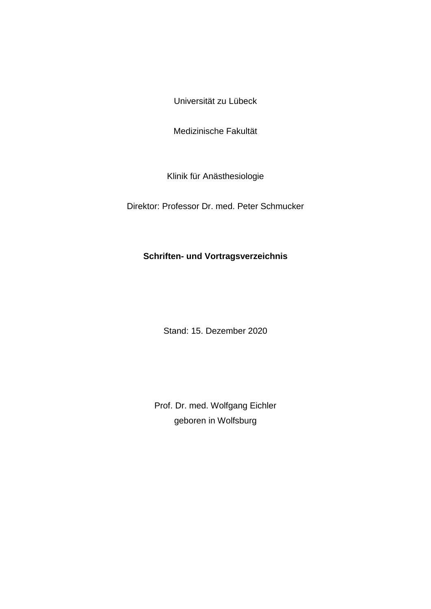Universität zu Lübeck

Medizinische Fakultät

Klinik für Anästhesiologie

Direktor: Professor Dr. med. Peter Schmucker

## **Schriften- und Vortragsverzeichnis**

Stand: 15. Dezember 2020

Prof. Dr. med. Wolfgang Eichler geboren in Wolfsburg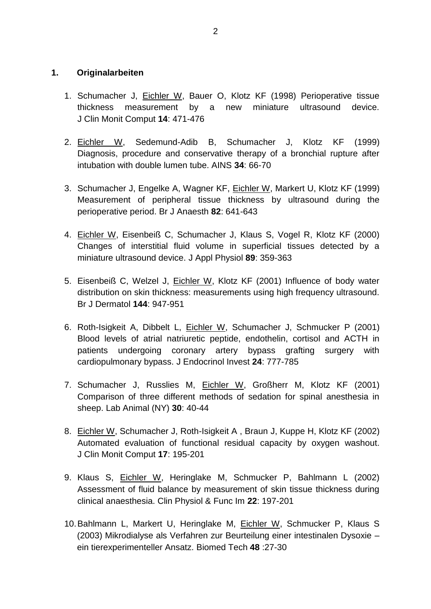## **1. Originalarbeiten**

- 1. Schumacher J, Eichler W, Bauer O, Klotz KF (1998) Perioperative tissue thickness measurement by a new miniature ultrasound device. J Clin Monit Comput **14**: 471-476
- 2. Eichler W, Sedemund-Adib B, Schumacher J, Klotz KF (1999) Diagnosis, procedure and conservative therapy of a bronchial rupture after intubation with double lumen tube. AINS **34**: 66-70
- 3. Schumacher J, Engelke A, Wagner KF, Eichler W, Markert U, Klotz KF (1999) Measurement of peripheral tissue thickness by ultrasound during the perioperative period. Br J Anaesth **82**: 641-643
- 4. Eichler W, Eisenbeiß C, Schumacher J, Klaus S, Vogel R, Klotz KF (2000) Changes of interstitial fluid volume in superficial tissues detected by a miniature ultrasound device. J Appl Physiol **89**: 359-363
- 5. Eisenbeiß C, Welzel J, Eichler W, Klotz KF (2001) Influence of body water distribution on skin thickness: measurements using high frequency ultrasound. Br J Dermatol **144**: 947-951
- 6. Roth-Isigkeit A, Dibbelt L, Eichler W, Schumacher J, Schmucker P (2001) Blood levels of atrial natriuretic peptide, endothelin, cortisol and ACTH in patients undergoing coronary artery bypass grafting surgery with cardiopulmonary bypass. J Endocrinol Invest **24**: 777-785
- 7. Schumacher J, Russlies M, Eichler W, Großherr M, Klotz KF (2001) Comparison of three different methods of sedation for spinal anesthesia in sheep. Lab Animal (NY) **30**: 40-44
- 8. Eichler W, Schumacher J, Roth-Isigkeit A , Braun J, Kuppe H, Klotz KF (2002) Automated evaluation of functional residual capacity by oxygen washout. J Clin Monit Comput **17**: 195-201
- 9. Klaus S, Eichler W, Heringlake M, Schmucker P, Bahlmann L (2002) Assessment of fluid balance by measurement of skin tissue thickness during clinical anaesthesia. Clin Physiol & Func Im **22**: 197-201
- 10.Bahlmann L, Markert U, Heringlake M, Eichler W, Schmucker P, Klaus S (2003) Mikrodialyse als Verfahren zur Beurteilung einer intestinalen Dysoxie – ein tierexperimenteller Ansatz. Biomed Tech **48** :27-30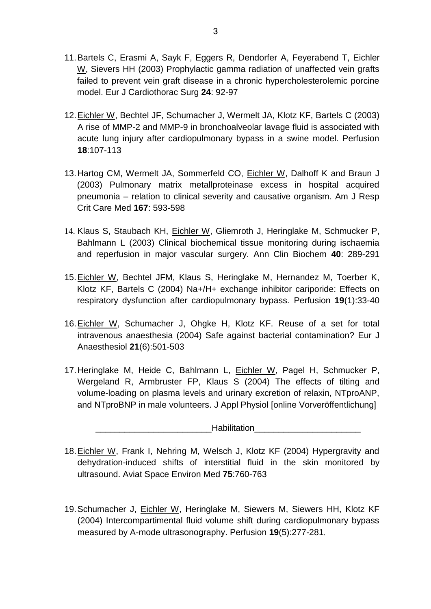- 11.Bartels C, Erasmi A, Sayk F, Eggers R, Dendorfer A, Feyerabend T, Eichler W, Sievers HH (2003) Prophylactic gamma radiation of unaffected vein grafts failed to prevent vein graft disease in a chronic hypercholesterolemic porcine model. Eur J Cardiothorac Surg **24**: 92-97
- 12.Eichler W, Bechtel JF, Schumacher J, Wermelt JA, Klotz KF, Bartels C (2003) A rise of MMP-2 and MMP-9 in bronchoalveolar lavage fluid is associated with acute lung injury after cardiopulmonary bypass in a swine model. Perfusion **18**:107-113
- 13.Hartog CM, Wermelt JA, Sommerfeld CO, Eichler W, Dalhoff K and Braun J (2003) Pulmonary matrix metallproteinase excess in hospital acquired pneumonia – relation to clinical severity and causative organism. Am J Resp Crit Care Med **167**: 593-598
- 14. Klaus S, Staubach KH, Eichler W, Gliemroth J, Heringlake M, Schmucker P, Bahlmann L (2003) Clinical biochemical tissue monitoring during ischaemia and reperfusion in major vascular surgery. Ann Clin Biochem **40**: 289-291
- 15.Eichler W, Bechtel JFM, Klaus S, Heringlake M, Hernandez M, Toerber K, Klotz KF, Bartels C (2004) Na+/H+ exchange inhibitor cariporide: Effects on respiratory dysfunction after cardiopulmonary bypass. Perfusion **19**(1):33-40
- 16.Eichler W, Schumacher J, Ohgke H, Klotz KF. Reuse of a set for total intravenous anaesthesia (2004) Safe against bacterial contamination? Eur J Anaesthesiol **21**(6):501-503
- 17.Heringlake M, Heide C, Bahlmann L, Eichler W, Pagel H, Schmucker P, Wergeland R, Armbruster FP, Klaus S (2004) The effects of tilting and volume-loading on plasma levels and urinary excretion of relaxin, NTproANP, and NTproBNP in male volunteers. J Appl Physiol [online Vorveröffentlichung]

| Habilitation |  |
|--------------|--|
|              |  |

- 18.Eichler W, Frank I, Nehring M, Welsch J, Klotz KF (2004) Hypergravity and dehydration-induced shifts of interstitial fluid in the skin monitored by ultrasound. Aviat Space Environ Med **75**:760-763
- 19.Schumacher J, Eichler W, Heringlake M, Siewers M, Siewers HH, Klotz KF (2004) Intercompartimental fluid volume shift during cardiopulmonary bypass measured by A-mode ultrasonography. Perfusion **19**(5):277-281.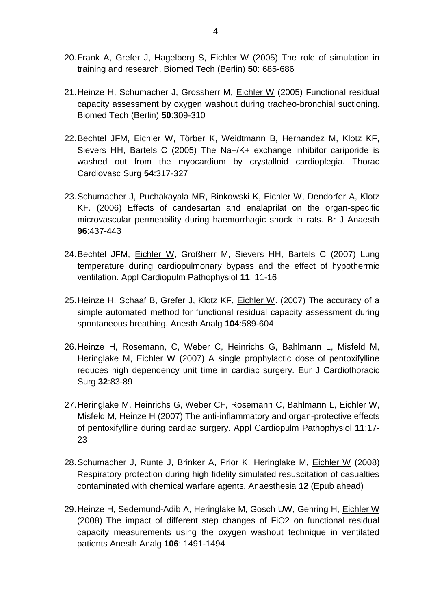- 20.Frank A, Grefer J, Hagelberg S, Eichler W (2005) The role of simulation in training and research. Biomed Tech (Berlin) **50**: 685-686
- 21.Heinze H, Schumacher J, Grossherr M, Eichler W (2005) Functional residual capacity assessment by oxygen washout during tracheo-bronchial suctioning. Biomed Tech (Berlin) **50**:309-310
- 22.Bechtel JFM, Eichler W, Törber K, Weidtmann B, Hernandez M, Klotz KF, Sievers HH, Bartels C (2005) The Na+/K+ exchange inhibitor cariporide is washed out from the myocardium by crystalloid cardioplegia. Thorac Cardiovasc Surg **54**:317-327
- [23.Schumacher J, Puchakayala MR, Binkowski K, Eichler W, Dendorfer A, Klotz](http://www.ncbi.nlm.nih.gov/entrez/query.fcgi?cmd=Retrieve&db=pubmed&dopt=Abstract&list_uids=16490762&query_hl=5&itool=pubmed_docsum)  [KF.](http://www.ncbi.nlm.nih.gov/entrez/query.fcgi?cmd=Retrieve&db=pubmed&dopt=Abstract&list_uids=16490762&query_hl=5&itool=pubmed_docsum) (2006) Effects of candesartan and enalaprilat on the organ-specific microvascular permeability during haemorrhagic shock in rats. Br J Anaesth **96**:437-443
- 24.Bechtel JFM, Eichler W, Großherr M, Sievers HH, Bartels C (2007) Lung temperature during cardiopulmonary bypass and the effect of hypothermic ventilation. Appl Cardiopulm Pathophysiol **11**: 11-16
- 25.Heinze H, Schaaf B, Grefer J, Klotz KF, Eichler W. (2007) The accuracy of a simple automated method for functional residual capacity assessment during spontaneous breathing. Anesth Analg **104**:589-604
- 26.Heinze H, Rosemann, C, Weber C, Heinrichs G, Bahlmann L, Misfeld M, Heringlake M, Eichler W (2007) A single prophylactic dose of pentoxifylline reduces high dependency unit time in cardiac surgery. Eur J Cardiothoracic Surg **32**:83-89
- 27.Heringlake M, Heinrichs G, Weber CF, Rosemann C, Bahlmann L, Eichler W, Misfeld M, Heinze H (2007) The anti-inflammatory and organ-protective effects of pentoxifylline during cardiac surgery. Appl Cardiopulm Pathophysiol **11**:17- 23
- 28.Schumacher J, Runte J, Brinker A, Prior K, Heringlake M, Eichler W (2008) Respiratory protection during high fidelity simulated resuscitation of casualties contaminated with chemical warfare agents. Anaesthesia **12** (Epub ahead)
- 29.Heinze H, Sedemund-Adib A, Heringlake M, Gosch UW, Gehring H, Eichler W (2008) The impact of different step changes of FiO2 on functional residual capacity measurements using the oxygen washout technique in ventilated patients Anesth Analg **106**: 1491-1494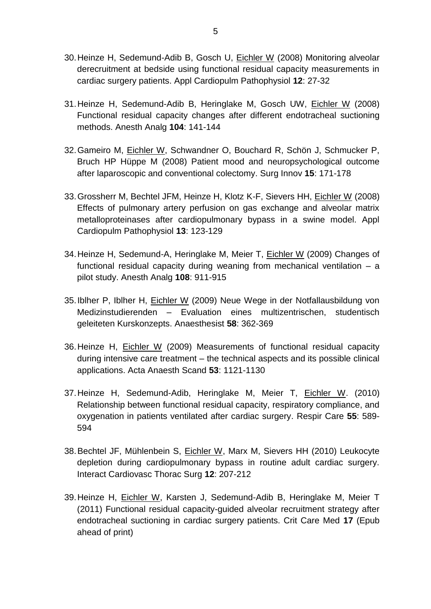- 30.Heinze H, Sedemund-Adib B, Gosch U, Eichler W (2008) Monitoring alveolar derecruitment at bedside using functional residual capacity measurements in cardiac surgery patients. Appl Cardiopulm Pathophysiol **12**: 27-32
- 31.Heinze H, Sedemund-Adib B, Heringlake M, Gosch UW, Eichler W (2008) Functional residual capacity changes after different endotracheal suctioning methods. Anesth Analg **104**: 141-144
- 32.Gameiro M, Eichler W, Schwandner O, Bouchard R, Schön J, Schmucker P, Bruch HP Hüppe M (2008) Patient mood and neuropsychological outcome after laparoscopic and conventional colectomy. Surg Innov **15**: 171-178
- 33.Grossherr M, Bechtel JFM, Heinze H, Klotz K-F, Sievers HH, Eichler W (2008) Effects of pulmonary artery perfusion on gas exchange and alveolar matrix metalloproteinases after cardiopulmonary bypass in a swine model. Appl Cardiopulm Pathophysiol **13**: 123-129
- 34.Heinze H, Sedemund-A, Heringlake M, Meier T, Eichler W (2009) Changes of functional residual capacity during weaning from mechanical ventilation – a pilot study. Anesth Analg **108**: 911-915
- 35.Iblher P, Iblher H, Eichler W (2009) Neue Wege in der Notfallausbildung von Medizinstudierenden – Evaluation eines multizentrischen, studentisch geleiteten Kurskonzepts. Anaesthesist **58**: 362-369
- 36.Heinze H, Eichler W (2009) Measurements of functional residual capacity during intensive care treatment – the technical aspects and its possible clinical applications. Acta Anaesth Scand **53**: 1121-1130
- 37.Heinze H, Sedemund-Adib, Heringlake M, Meier T, Eichler W. (2010) Relationship between functional residual capacity, respiratory compliance, and oxygenation in patients ventilated after cardiac surgery. Respir Care **55**: 589- 594
- 38.Bechtel JF, Mühlenbein S, Eichler W, Marx M, Sievers HH (2010) Leukocyte depletion during cardiopulmonary bypass in routine adult cardiac surgery. Interact Cardiovasc Thorac Surg **12**: 207-212
- 39.Heinze H, Eichler W, Karsten J, Sedemund-Adib B, Heringlake M, Meier T (2011) Functional residual capacity-guided alveolar recruitment strategy after endotracheal suctioning in cardiac surgery patients. Crit Care Med **17** (Epub ahead of print)